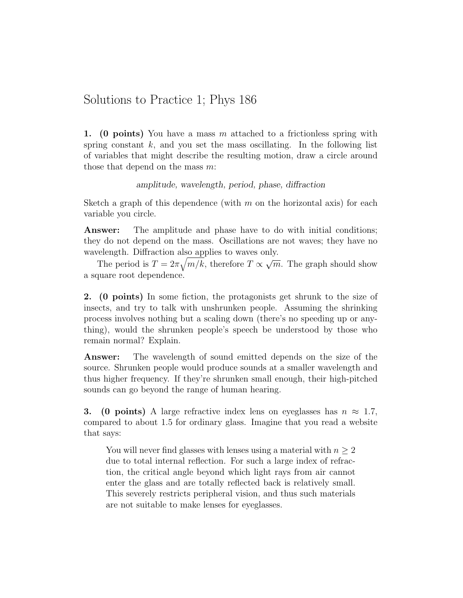## Solutions to Practice 1; Phys 186

1. (0 points) You have a mass m attached to a frictionless spring with spring constant  $k$ , and you set the mass oscillating. In the following list of variables that might describe the resulting motion, draw a circle around those that depend on the mass  $m$ :

## amplitude, wavelength, period, phase, diffraction

Sketch a graph of this dependence (with  $m$  on the horizontal axis) for each variable you circle.

**Answer:** The amplitude and phase have to do with initial conditions; they do not depend on the mass. Oscillations are not waves; they have no wavelength. Diffraction also applies to waves only. √

The period is  $T = 2\pi \sqrt{m/k}$ , therefore  $T \propto$  $\overline{m}$ . The graph should show a square root dependence.

2. (0 points) In some fiction, the protagonists get shrunk to the size of insects, and try to talk with unshrunken people. Assuming the shrinking process involves nothing but a scaling down (there's no speeding up or anything), would the shrunken people's speech be understood by those who remain normal? Explain.

Answer: The wavelength of sound emitted depends on the size of the source. Shrunken people would produce sounds at a smaller wavelength and thus higher frequency. If they're shrunken small enough, their high-pitched sounds can go beyond the range of human hearing.

**3.** (0 points) A large refractive index lens on eyeglasses has  $n \approx 1.7$ , compared to about 1.5 for ordinary glass. Imagine that you read a website that says:

You will never find glasses with lenses using a material with  $n \geq 2$ due to total internal reflection. For such a large index of refraction, the critical angle beyond which light rays from air cannot enter the glass and are totally reflected back is relatively small. This severely restricts peripheral vision, and thus such materials are not suitable to make lenses for eyeglasses.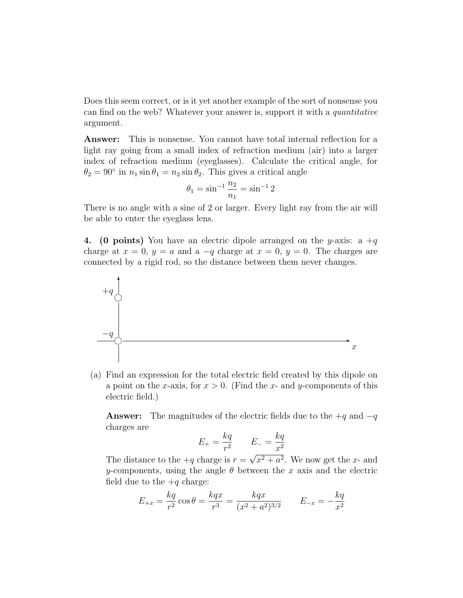Does this seem correct, or is it yet another example of the sort of nonsense you can find on the web? Whatever your answer is, support it with a quantitative argument.

Answer: This is nonsense. You cannot have total internal reflection for a light ray going from a small index of refraction medium (air) into a larger index of refraction medium (eyeglasses). Calculate the critical angle, for  $\theta_2 = 90^\circ$  in  $n_1 \sin \theta_1 = n_2 \sin \theta_2$ . This gives a critical angle

$$
\theta_1 = \sin^{-1} \frac{n_2}{n_1} = \sin^{-1} 2
$$

There is no angle with a sine of 2 or larger. Every light ray from the air will be able to enter the eyeglass lens.

4. (0 points) You have an electric dipole arranged on the y-axis: a  $+q$ charge at  $x = 0$ ,  $y = a$  and a  $-q$  charge at  $x = 0$ ,  $y = 0$ . The charges are connected by a rigid rod, so the distance between them never changes.



(a) Find an expression for the total electric field created by this dipole on a point on the x-axis, for  $x > 0$ . (Find the x- and y-components of this electric field.)

**Answer:** The magnitudes of the electric fields due to the  $+q$  and  $-q$ charges are

$$
E_{+} = \frac{kq}{r^2} \qquad E_{-} = \frac{kq}{x^2}
$$

The distance to the  $+q$  charge is  $r =$  $x^2 + a^2$ . We now get the x- and y-components, using the angle  $\theta$  between the x axis and the electric field due to the  $+q$  charge:

$$
E_{+x} = \frac{kq}{r^2} \cos \theta = \frac{kqx}{r^3} = \frac{kqx}{(x^2 + a^2)^{3/2}} \qquad E_{-x} = -\frac{kq}{x^2}
$$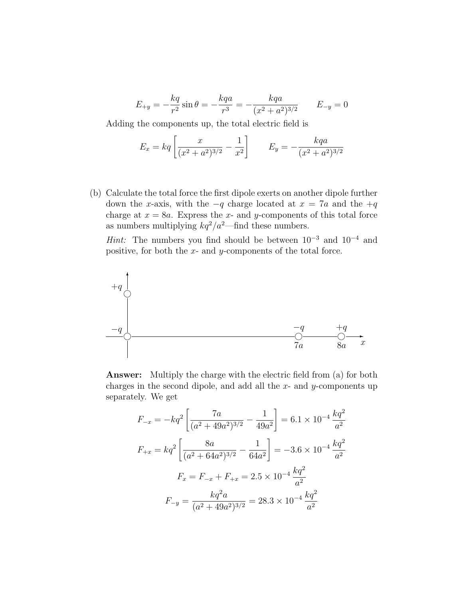$$
E_{+y} = -\frac{kq}{r^2} \sin \theta = -\frac{kqa}{r^3} = -\frac{kqa}{(x^2 + a^2)^{3/2}} \qquad E_{-y} = 0
$$

Adding the components up, the total electric field is

$$
E_x = kq \left[ \frac{x}{(x^2 + a^2)^{3/2}} - \frac{1}{x^2} \right] \qquad E_y = -\frac{kqa}{(x^2 + a^2)^{3/2}}
$$

(b) Calculate the total force the first dipole exerts on another dipole further down the x-axis, with the  $-q$  charge located at  $x = 7a$  and the  $+q$ charge at  $x = 8a$ . Express the x- and y-components of this total force as numbers multiplying  $kq^2/a^2$ —find these numbers. Hint: The numbers you find should be between  $10^{-3}$  and  $10^{-4}$  and positive, for both the  $x$ - and  $y$ -components of the total force.

$$
+q
$$
\n
$$
-q
$$
\n
$$
-q
$$
\n
$$
-q
$$
\n
$$
-q
$$
\n
$$
-q
$$
\n
$$
-q
$$
\n
$$
-q
$$
\n
$$
-q
$$
\n
$$
-q
$$
\n
$$
-q
$$
\n
$$
-q
$$
\n
$$
-q
$$
\n
$$
-q
$$
\n
$$
-q
$$
\n
$$
-q
$$
\n
$$
-q
$$
\n
$$
-q
$$
\n
$$
-q
$$
\n
$$
-q
$$
\n
$$
-q
$$
\n
$$
-q
$$
\n
$$
-q
$$
\n
$$
-q
$$
\n
$$
-q
$$
\n
$$
-q
$$
\n
$$
-q
$$
\n
$$
-q
$$
\n
$$
-q
$$
\n
$$
-q
$$
\n
$$
-q
$$

Answer: Multiply the charge with the electric field from (a) for both charges in the second dipole, and add all the  $x$ - and  $y$ -components up separately. We get

$$
F_{-x} = -kq^2 \left[ \frac{7a}{(a^2 + 49a^2)^{3/2}} - \frac{1}{49a^2} \right] = 6.1 \times 10^{-4} \frac{kq^2}{a^2}
$$

$$
F_{+x} = kq^2 \left[ \frac{8a}{(a^2 + 64a^2)^{3/2}} - \frac{1}{64a^2} \right] = -3.6 \times 10^{-4} \frac{kq^2}{a^2}
$$

$$
F_x = F_{-x} + F_{+x} = 2.5 \times 10^{-4} \frac{kq^2}{a^2}
$$

$$
F_{-y} = \frac{kq^2a}{(a^2 + 49a^2)^{3/2}} = 28.3 \times 10^{-4} \frac{kq^2}{a^2}
$$